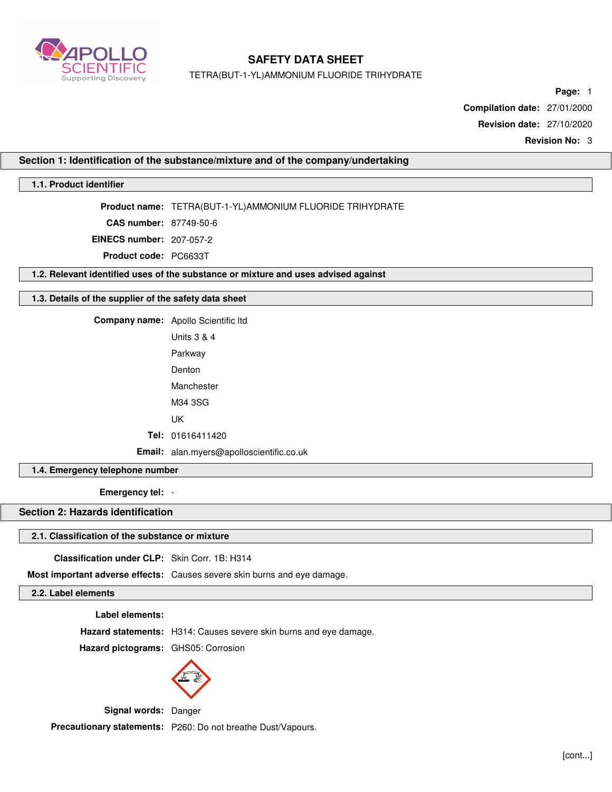

TETRA(BUT-1-YL)AMMONIUM FLUORIDE TRIHYDRATE

**Page:** 1

**Compilation date:** 27/01/2000

**Revision date:** 27/10/2020

**Revision No:** 3

### **Section 1: Identification of the substance/mixture and of the company/undertaking**

# **1.1. Product identifier**

**Product name:** TETRA(BUT-1-YL)AMMONIUM FLUORIDE TRIHYDRATE

**CAS number:** 87749-50-6

**EINECS number:** 207-057-2

**Product code:** PC6633T

**1.2. Relevant identified uses of the substance or mixture and uses advised against**

## **1.3. Details of the supplier of the safety data sheet**

**Company name:** Apollo Scientific ltd

Units 3 & 4 Parkway Denton Manchester M34 3SG

UK

**Tel:** 01616411420

**Email:** alan.myers@apolloscientific.co.uk

### **1.4. Emergency telephone number**

**Emergency tel:** -

# **Section 2: Hazards identification**

#### **2.1. Classification of the substance or mixture**

**Classification under CLP:** Skin Corr. 1B: H314

**Most important adverse effects:** Causes severe skin burns and eye damage.

# **2.2. Label elements**

**Label elements:**

**Hazard statements:** H314: Causes severe skin burns and eye damage.

**Hazard pictograms:** GHS05: Corrosion



**Signal words:** Danger

**Precautionary statements:** P260: Do not breathe Dust/Vapours.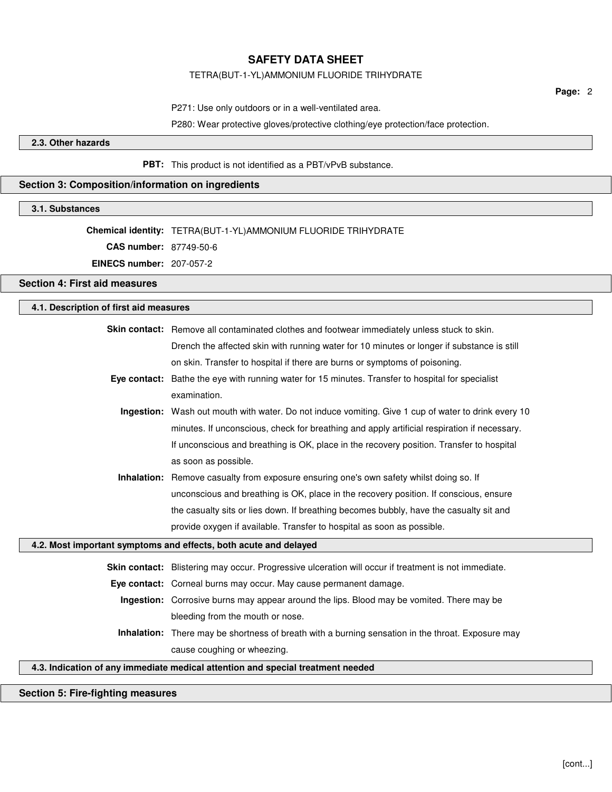#### TETRA(BUT-1-YL)AMMONIUM FLUORIDE TRIHYDRATE

**Page:** 2

P271: Use only outdoors or in a well-ventilated area.

P280: Wear protective gloves/protective clothing/eye protection/face protection.

### **2.3. Other hazards**

**PBT:** This product is not identified as a PBT/vPvB substance.

### **Section 3: Composition/information on ingredients**

#### **3.1. Substances**

**Chemical identity:** TETRA(BUT-1-YL)AMMONIUM FLUORIDE TRIHYDRATE

**CAS number:** 87749-50-6

**EINECS number:** 207-057-2

### **Section 4: First aid measures**

# **4.1. Description of first aid measures**

| <b>Skin contact:</b> Remove all contaminated clothes and footwear immediately unless stuck to skin. |
|-----------------------------------------------------------------------------------------------------|
| Drench the affected skin with running water for 10 minutes or longer if substance is still          |
| on skin. Transfer to hospital if there are burns or symptoms of poisoning.                          |
|                                                                                                     |

- **Eye contact:** Bathe the eye with running water for 15 minutes. Transfer to hospital for specialist examination.
	- **Ingestion:** Wash out mouth with water. Do not induce vomiting. Give 1 cup of water to drink every 10 minutes. If unconscious, check for breathing and apply artificial respiration if necessary. If unconscious and breathing is OK, place in the recovery position. Transfer to hospital as soon as possible.
	- **Inhalation:** Remove casualty from exposure ensuring one's own safety whilst doing so. If unconscious and breathing is OK, place in the recovery position. If conscious, ensure the casualty sits or lies down. If breathing becomes bubbly, have the casualty sit and provide oxygen if available. Transfer to hospital as soon as possible.

#### **4.2. Most important symptoms and effects, both acute and delayed**

**Skin contact:** Blistering may occur. Progressive ulceration will occur if treatment is not immediate.

**Eye contact:** Corneal burns may occur. May cause permanent damage.

- **Ingestion:** Corrosive burns may appear around the lips. Blood may be vomited. There may be bleeding from the mouth or nose.
- **Inhalation:** There may be shortness of breath with a burning sensation in the throat. Exposure may cause coughing or wheezing.

#### **4.3. Indication of any immediate medical attention and special treatment needed**

#### **Section 5: Fire-fighting measures**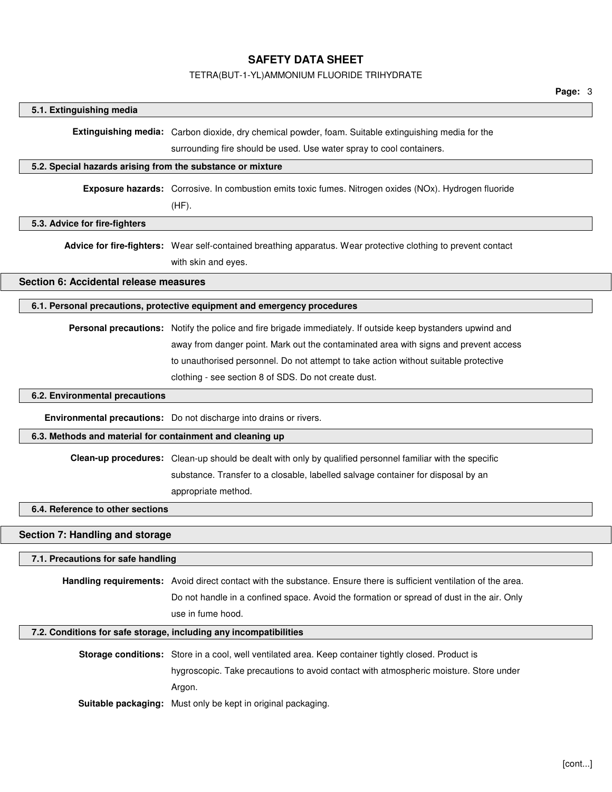# TETRA(BUT-1-YL)AMMONIUM FLUORIDE TRIHYDRATE

|                                                            |                                                                                                                     | Page: 3 |
|------------------------------------------------------------|---------------------------------------------------------------------------------------------------------------------|---------|
| 5.1. Extinguishing media                                   |                                                                                                                     |         |
|                                                            | Extinguishing media: Carbon dioxide, dry chemical powder, foam. Suitable extinguishing media for the                |         |
|                                                            | surrounding fire should be used. Use water spray to cool containers.                                                |         |
| 5.2. Special hazards arising from the substance or mixture |                                                                                                                     |         |
|                                                            |                                                                                                                     |         |
|                                                            | Exposure hazards: Corrosive. In combustion emits toxic fumes. Nitrogen oxides (NOx). Hydrogen fluoride              |         |
|                                                            | $(HF)$ .                                                                                                            |         |
| 5.3. Advice for fire-fighters                              |                                                                                                                     |         |
|                                                            | Advice for fire-fighters: Wear self-contained breathing apparatus. Wear protective clothing to prevent contact      |         |
|                                                            | with skin and eyes.                                                                                                 |         |
| Section 6: Accidental release measures                     |                                                                                                                     |         |
|                                                            | 6.1. Personal precautions, protective equipment and emergency procedures                                            |         |
|                                                            | Personal precautions: Notify the police and fire brigade immediately. If outside keep bystanders upwind and         |         |
|                                                            | away from danger point. Mark out the contaminated area with signs and prevent access                                |         |
|                                                            | to unauthorised personnel. Do not attempt to take action without suitable protective                                |         |
|                                                            | clothing - see section 8 of SDS. Do not create dust.                                                                |         |
|                                                            |                                                                                                                     |         |
| 6.2. Environmental precautions                             |                                                                                                                     |         |
|                                                            | Environmental precautions: Do not discharge into drains or rivers.                                                  |         |
| 6.3. Methods and material for containment and cleaning up  |                                                                                                                     |         |
|                                                            | Clean-up procedures: Clean-up should be dealt with only by qualified personnel familiar with the specific           |         |
|                                                            | substance. Transfer to a closable, labelled salvage container for disposal by an                                    |         |
|                                                            | appropriate method.                                                                                                 |         |
| 6.4. Reference to other sections                           |                                                                                                                     |         |
| Section 7: Handling and storage                            |                                                                                                                     |         |
| 7.1. Precautions for safe handling                         |                                                                                                                     |         |
|                                                            |                                                                                                                     |         |
|                                                            | Handling requirements: Avoid direct contact with the substance. Ensure there is sufficient ventilation of the area. |         |
|                                                            | Do not handle in a confined space. Avoid the formation or spread of dust in the air. Only                           |         |
|                                                            | use in fume hood.                                                                                                   |         |
|                                                            | 7.2. Conditions for safe storage, including any incompatibilities                                                   |         |
|                                                            | Storage conditions: Store in a cool, well ventilated area. Keep container tightly closed. Product is                |         |
|                                                            | hygroscopic. Take precautions to avoid contact with atmospheric moisture. Store under                               |         |
|                                                            | Argon.                                                                                                              |         |
|                                                            | Suitable packaging: Must only be kept in original packaging.                                                        |         |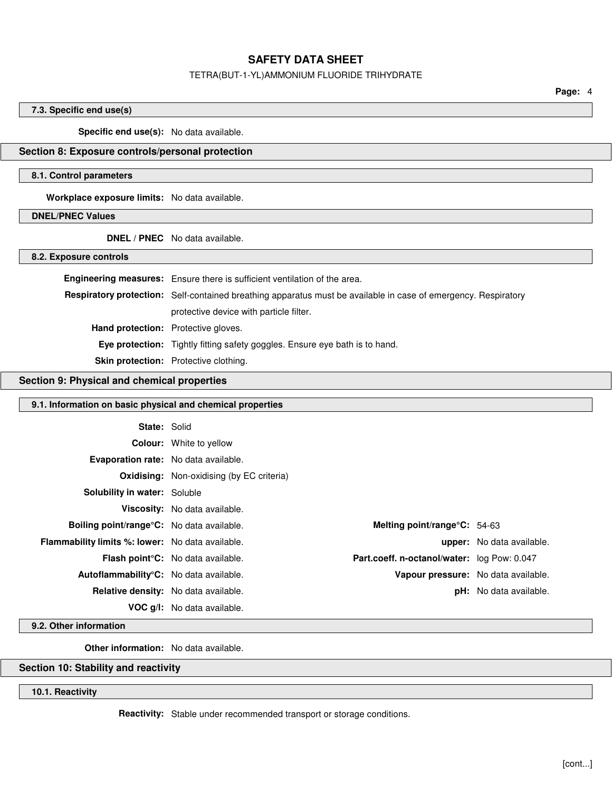### TETRA(BUT-1-YL)AMMONIUM FLUORIDE TRIHYDRATE

**Page:** 4

# **7.3. Specific end use(s)**

**Specific end use(s):** No data available.

# **Section 8: Exposure controls/personal protection**

#### **8.1. Control parameters**

**Workplace exposure limits:** No data available.

# **DNEL/PNEC Values**

**DNEL / PNEC** No data available.

**8.2. Exposure controls**

|                                            | Engineering measures: Ensure there is sufficient ventilation of the area.                                      |  |
|--------------------------------------------|----------------------------------------------------------------------------------------------------------------|--|
|                                            | Respiratory protection: Self-contained breathing apparatus must be available in case of emergency. Respiratory |  |
|                                            | protective device with particle filter.                                                                        |  |
| <b>Hand protection:</b> Protective gloves. |                                                                                                                |  |
|                                            | Eye protection: Tightly fitting safety goggles. Ensure eye bath is to hand.                                    |  |
|                                            | <b>Skin protection:</b> Protective clothing.                                                                   |  |

# **Section 9: Physical and chemical properties**

## **9.1. Information on basic physical and chemical properties**

| <b>State: Solid</b>                                     |                                                  |                                             |                                  |
|---------------------------------------------------------|--------------------------------------------------|---------------------------------------------|----------------------------------|
|                                                         | <b>Colour:</b> White to yellow                   |                                             |                                  |
| <b>Evaporation rate:</b> No data available.             |                                                  |                                             |                                  |
|                                                         | <b>Oxidising:</b> Non-oxidising (by EC criteria) |                                             |                                  |
| <b>Solubility in water: Soluble</b>                     |                                                  |                                             |                                  |
|                                                         | Viscosity: No data available.                    |                                             |                                  |
| <b>Boiling point/range C:</b> No data available.        |                                                  | Melting point/range $\textdegree$ C: 54-63  |                                  |
| <b>Flammability limits %: lower:</b> No data available. |                                                  |                                             | <b>upper:</b> No data available. |
|                                                         | <b>Flash point C:</b> No data available.         | Part.coeff. n-octanol/water: log Pow: 0.047 |                                  |
| Autoflammability°C: No data available.                  |                                                  | Vapour pressure: No data available.         |                                  |
| <b>Relative density:</b> No data available.             |                                                  |                                             | <b>pH:</b> No data available.    |
|                                                         | <b>VOC g/l:</b> No data available.               |                                             |                                  |

### **9.2. Other information**

**Other information:** No data available.

# **Section 10: Stability and reactivity**

**10.1. Reactivity**

**Reactivity:** Stable under recommended transport or storage conditions.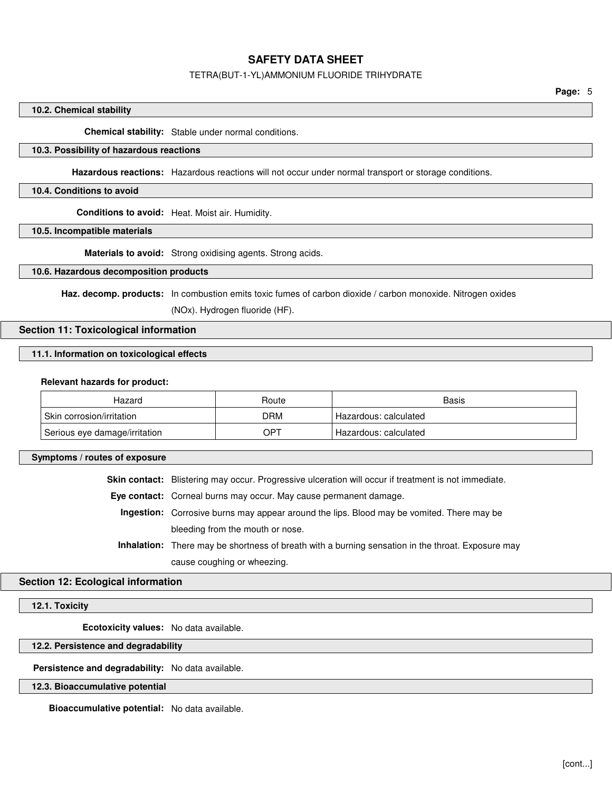#### TETRA(BUT-1-YL)AMMONIUM FLUORIDE TRIHYDRATE

#### **10.2. Chemical stability**

**Chemical stability:** Stable under normal conditions.

#### **10.3. Possibility of hazardous reactions**

**Hazardous reactions:** Hazardous reactions will not occur under normal transport or storage conditions.

#### **10.4. Conditions to avoid**

**Conditions to avoid:** Heat. Moist air. Humidity.

## **10.5. Incompatible materials**

**Materials to avoid:** Strong oxidising agents. Strong acids.

#### **10.6. Hazardous decomposition products**

Haz. decomp. products: In combustion emits toxic fumes of carbon dioxide / carbon monoxide. Nitrogen oxides

(NOx). Hydrogen fluoride (HF).

# **Section 11: Toxicological information**

#### **11.1. Information on toxicological effects**

#### **Relevant hazards for product:**

| Hazard                                 | Route | Basis                 |
|----------------------------------------|-------|-----------------------|
| <sup>l</sup> Skin corrosion/irritation | DRM   | Hazardous: calculated |
| Serious eye damage/irritation          | OPT   | Hazardous: calculated |

#### **Symptoms / routes of exposure**

**Skin contact:** Blistering may occur. Progressive ulceration will occur if treatment is not immediate.

**Eye contact:** Corneal burns may occur. May cause permanent damage.

**Ingestion:** Corrosive burns may appear around the lips. Blood may be vomited. There may be bleeding from the mouth or nose.

**Inhalation:** There may be shortness of breath with a burning sensation in the throat. Exposure may cause coughing or wheezing.

### **Section 12: Ecological information**

### **12.1. Toxicity**

**Ecotoxicity values:** No data available.

#### **12.2. Persistence and degradability**

**Persistence and degradability:** No data available.

#### **12.3. Bioaccumulative potential**

**Bioaccumulative potential:** No data available.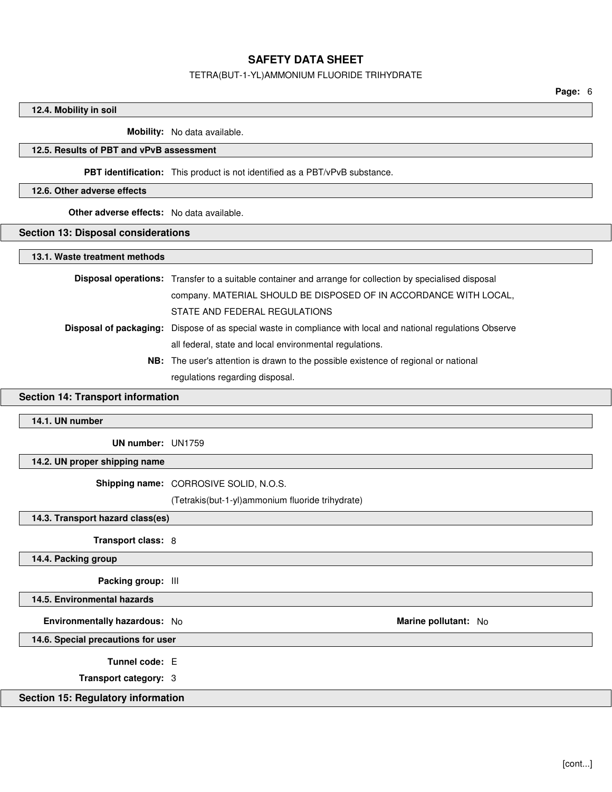#### TETRA(BUT-1-YL)AMMONIUM FLUORIDE TRIHYDRATE

**Page:** 6

#### **12.4. Mobility in soil**

**Mobility:** No data available.

#### **12.5. Results of PBT and vPvB assessment**

**PBT identification:** This product is not identified as a PBT/vPvB substance.

#### **12.6. Other adverse effects**

**Other adverse effects:** No data available.

### **Section 13: Disposal considerations**

#### **13.1. Waste treatment methods**

**Disposal operations:** Transfer to a suitable container and arrange for collection by specialised disposal company. MATERIAL SHOULD BE DISPOSED OF IN ACCORDANCE WITH LOCAL, STATE AND FEDERAL REGULATIONS **Disposal of packaging:** Dispose of as special waste in compliance with local and national regulations Observe all federal, state and local environmental regulations.

**NB:** The user's attention is drawn to the possible existence of regional or national regulations regarding disposal.

# **Section 14: Transport information**

### **14.1. UN number**

**UN number:** UN1759

**14.2. UN proper shipping name**

**Shipping name:** CORROSIVE SOLID, N.O.S.

(Tetrakis(but-1-yl)ammonium fluoride trihydrate)

**14.3. Transport hazard class(es)**

**Transport class:** 8

**14.4. Packing group**

**Packing group:** III

**14.5. Environmental hazards**

**Environmentally hazardous:** No **Marine pollutant:** No **Marine pollutant:** No

**14.6. Special precautions for user**

**Tunnel code:** E

**Transport category:** 3

### **Section 15: Regulatory information**